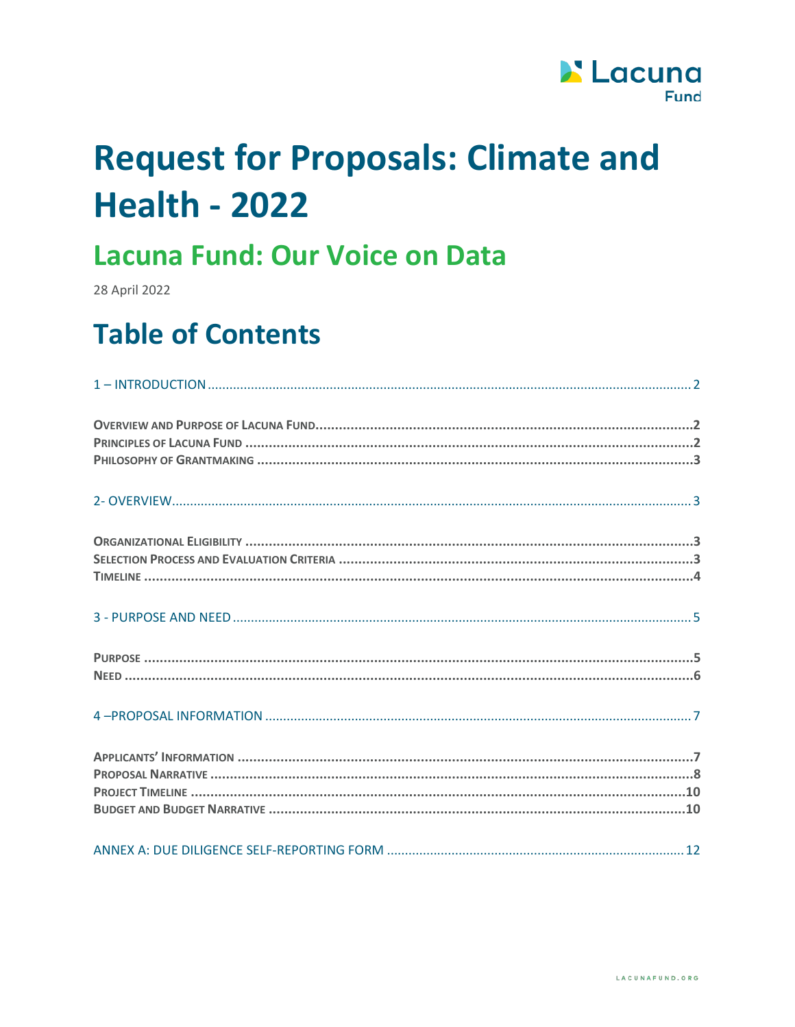

# **Request for Proposals: Climate and Health - 2022**

# Lacuna Fund: Our Voice on Data

28 April 2022

# **Table of Contents**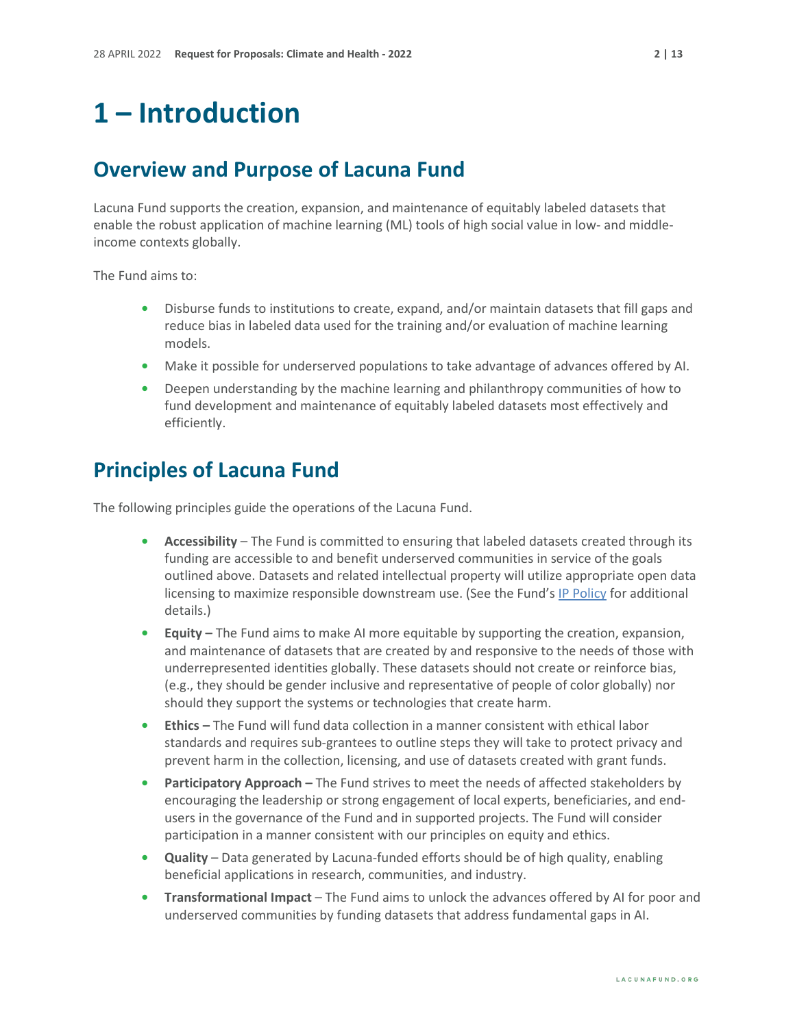# <span id="page-1-0"></span>**1 – Introduction**

#### <span id="page-1-1"></span>**Overview and Purpose of Lacuna Fund**

Lacuna Fund supports the creation, expansion, and maintenance of equitably labeled datasets that enable the robust application of machine learning (ML) tools of high social value in low- and middleincome contexts globally.

The Fund aims to:

- **•** Disburse funds to institutions to create, expand, and/or maintain datasets that fill gaps and reduce bias in labeled data used for the training and/or evaluation of machine learning models.
- **•** Make it possible for underserved populations to take advantage of advances offered by AI.
- **•** Deepen understanding by the machine learning and philanthropy communities of how to fund development and maintenance of equitably labeled datasets most effectively and efficiently.

#### <span id="page-1-2"></span>**Principles of Lacuna Fund**

The following principles guide the operations of the Lacuna Fund.

- **• Accessibility** The Fund is committed to ensuring that labeled datasets created through its funding are accessible to and benefit underserved communities in service of the goals outlined above. Datasets and related intellectual property will utilize appropriate open data licensing to maximize responsible downstream use. (See the Fund's [IP Policy](https://lacunafund.org/governance/#policies) for additional details.)
- **• Equity** The Fund aims to make AI more equitable by supporting the creation, expansion, and maintenance of datasets that are created by and responsive to the needs of those with underrepresented identities globally. These datasets should not create or reinforce bias, (e.g., they should be gender inclusive and representative of people of color globally) nor should they support the systems or technologies that create harm.
- **• Ethics** The Fund will fund data collection in a manner consistent with ethical labor standards and requires sub-grantees to outline steps they will take to protect privacy and prevent harm in the collection, licensing, and use of datasets created with grant funds.
- **Participatory Approach** The Fund strives to meet the needs of affected stakeholders by encouraging the leadership or strong engagement of local experts, beneficiaries, and endusers in the governance of the Fund and in supported projects. The Fund will consider participation in a manner consistent with our principles on equity and ethics.
- **• Quality** Data generated by Lacuna-funded efforts should be of high quality, enabling beneficial applications in research, communities, and industry.
- **• Transformational Impact** The Fund aims to unlock the advances offered by AI for poor and underserved communities by funding datasets that address fundamental gaps in AI.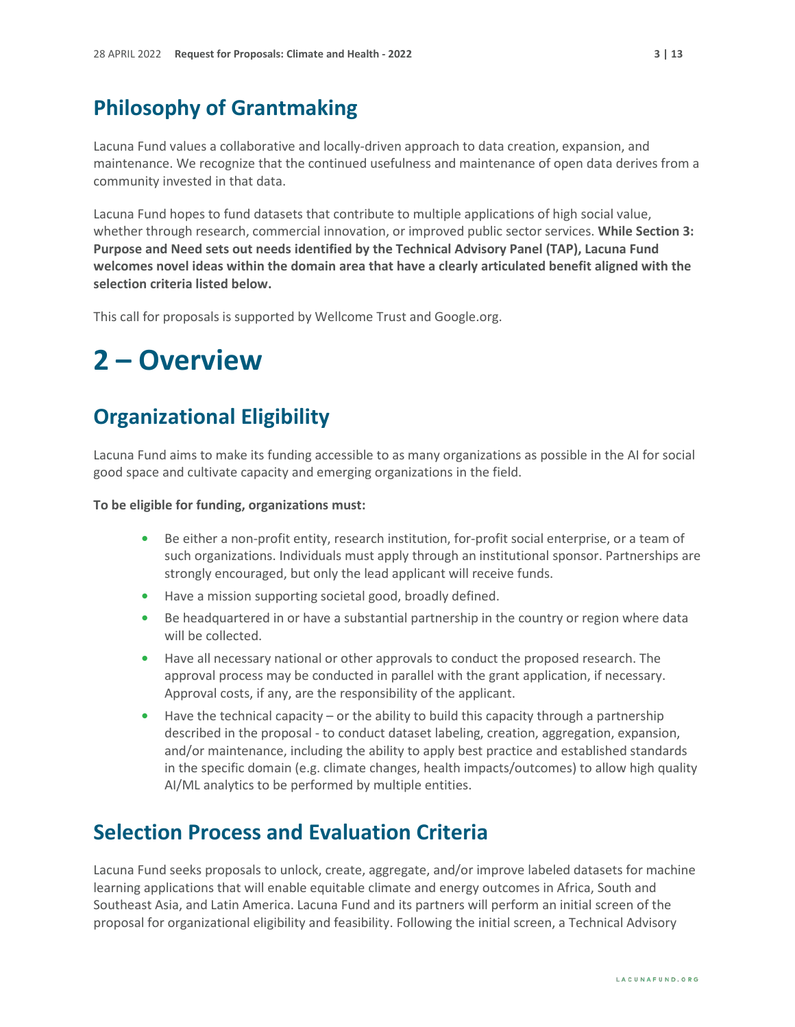#### <span id="page-2-0"></span>**Philosophy of Grantmaking**

Lacuna Fund values a collaborative and locally-driven approach to data creation, expansion, and maintenance. We recognize that the continued usefulness and maintenance of open data derives from a community invested in that data.

Lacuna Fund hopes to fund datasets that contribute to multiple applications of high social value, whether through research, commercial innovation, or improved public sector services. **While Section 3: Purpose and Need sets out needs identified by the Technical Advisory Panel (TAP), Lacuna Fund welcomes novel ideas within the domain area that have a clearly articulated benefit aligned with the selection criteria listed below.**

This call for proposals is supported by Wellcome Trust and Google.org.

### <span id="page-2-1"></span>**2 – Overview**

### <span id="page-2-2"></span>**Organizational Eligibility**

Lacuna Fund aims to make its funding accessible to as many organizations as possible in the AI for social good space and cultivate capacity and emerging organizations in the field.

**To be eligible for funding, organizations must:**

- **•** Be either a non-profit entity, research institution, for-profit social enterprise, or a team of such organizations. Individuals must apply through an institutional sponsor. Partnerships are strongly encouraged, but only the lead applicant will receive funds.
- **•** Have a mission supporting societal good, broadly defined.
- **•** Be headquartered in or have a substantial partnership in the country or region where data will be collected.
- **•** Have all necessary national or other approvals to conduct the proposed research. The approval process may be conducted in parallel with the grant application, if necessary. Approval costs, if any, are the responsibility of the applicant.
- **•** Have the technical capacity or the ability to build this capacity through a partnership described in the proposal - to conduct dataset labeling, creation, aggregation, expansion, and/or maintenance, including the ability to apply best practice and established standards in the specific domain (e.g. climate changes, health impacts/outcomes) to allow high quality AI/ML analytics to be performed by multiple entities.

### <span id="page-2-3"></span>**Selection Process and Evaluation Criteria**

Lacuna Fund seeks proposals to unlock, create, aggregate, and/or improve labeled datasets for machine learning applications that will enable equitable climate and energy outcomes in Africa, South and Southeast Asia, and Latin America. Lacuna Fund and its partners will perform an initial screen of the proposal for organizational eligibility and feasibility. Following the initial screen, a Technical Advisory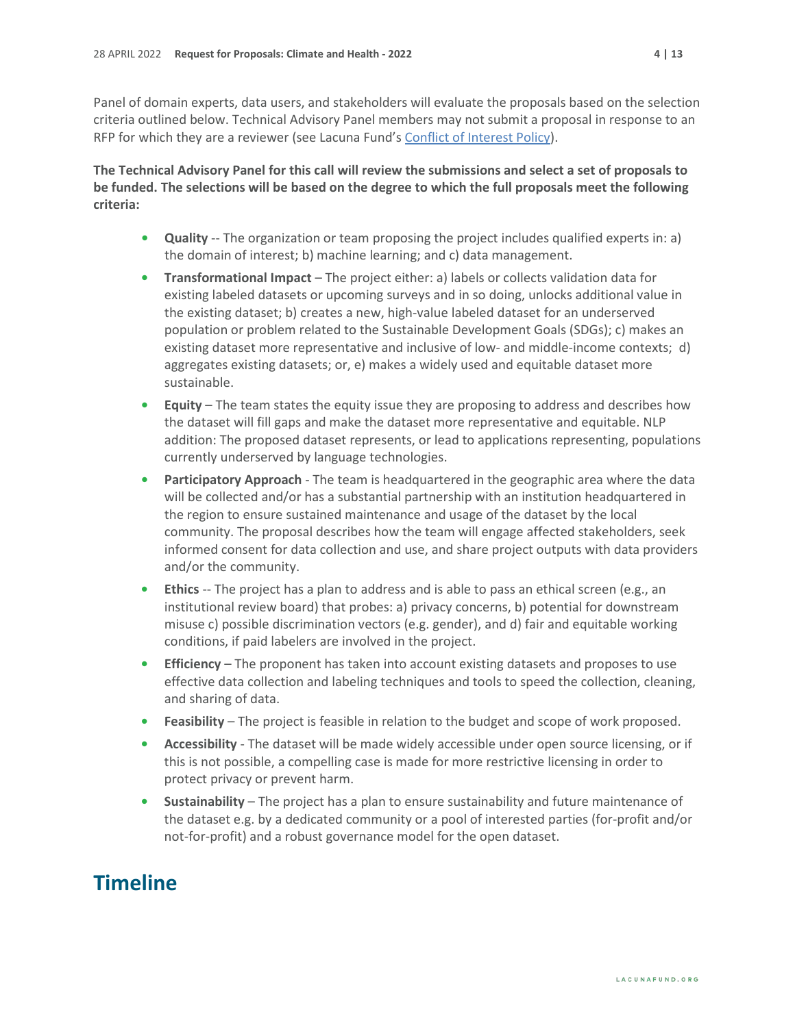Panel of domain experts, data users, and stakeholders will evaluate the proposals based on the selection criteria outlined below. Technical Advisory Panel members may not submit a proposal in response to an RFP for which they are a reviewer (see Lacuna Fund's [Conflict of Interest Policy\)](https://lacunafund.org/governance/#policies).

**The Technical Advisory Panel for this call will review the submissions and select a set of proposals to be funded. The selections will be based on the degree to which the full proposals meet the following criteria:**

- **• Quality** -- The organization or team proposing the project includes qualified experts in: a) the domain of interest; b) machine learning; and c) data management.
- **• Transformational Impact** The project either: a) labels or collects validation data for existing labeled datasets or upcoming surveys and in so doing, unlocks additional value in the existing dataset; b) creates a new, high-value labeled dataset for an underserved population or problem related to th[e Sustainable Development Goals \(SDGs\);](https://sustainabledevelopment.un.org/?menu=1300) c) makes an existing dataset more representative and inclusive of low- and middle-income contexts; d) aggregates existing datasets; or, e) makes a widely used and equitable dataset more sustainable.
- **• Equity** The team states the equity issue they are proposing to address and describes how the dataset will fill gaps and make the dataset more representative and equitable. NLP addition: The proposed dataset represents, or lead to applications representing, populations currently underserved by language technologies.
- **• Participatory Approach** The team is headquartered in the geographic area where the data will be collected and/or has a substantial partnership with an institution headquartered in the region to ensure sustained maintenance and usage of the dataset by the local community. The proposal describes how the team will engage affected stakeholders, seek informed consent for data collection and use, and share project outputs with data providers and/or the community.
- **• Ethics** -- The project has a plan to address and is able to pass an ethical screen (e.g., an institutional review board) that probes: a) privacy concerns, b) potential for downstream misuse c) possible discrimination vectors (e.g. gender), and d) fair and equitable working conditions, if paid labelers are involved in the project.
- **• Efficiency** The proponent has taken into account existing datasets and proposes to use effective data collection and labeling techniques and tools to speed the collection, cleaning, and sharing of data.
- **• Feasibility** The project is feasible in relation to the budget and scope of work proposed.
- **• Accessibility** The dataset will be made widely accessible under open source licensing, or if this is not possible, a compelling case is made for more restrictive licensing in order to protect privacy or prevent harm.
- **• Sustainability** The project has a plan to ensure sustainability and future maintenance of the dataset e.g. by a dedicated community or a pool of interested parties (for-profit and/or not-for-profit) and a robust governance model for the open dataset.

### <span id="page-3-0"></span>**Timeline**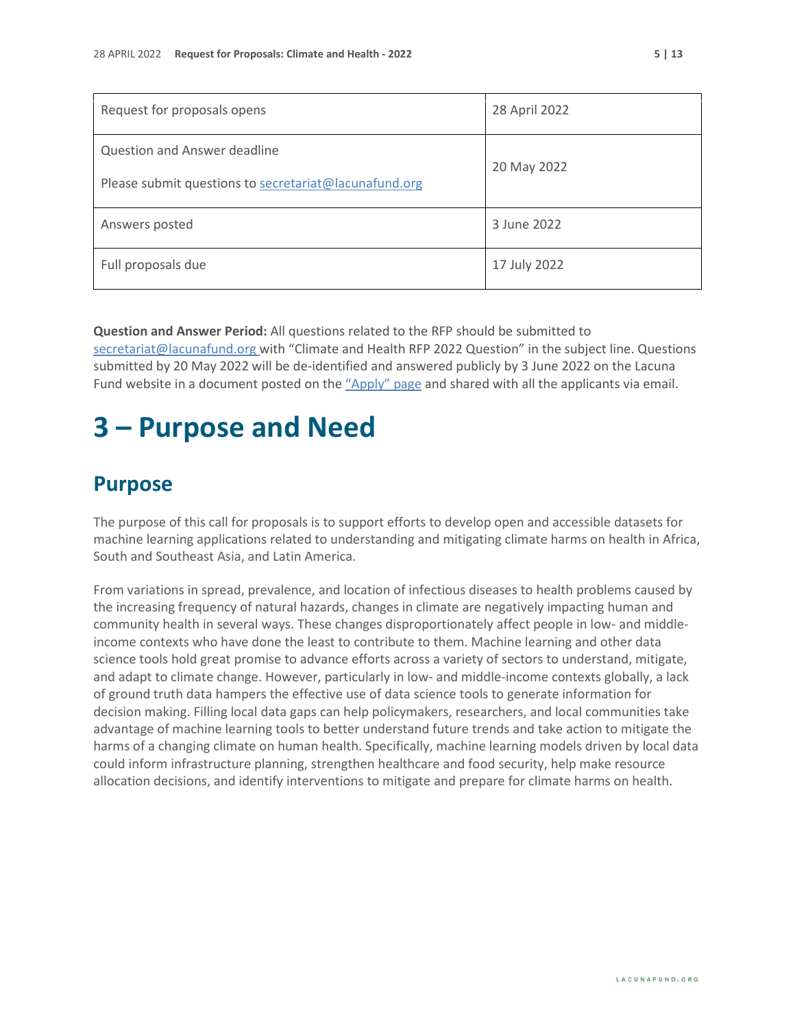| Request for proposals opens                                                           | 28 April 2022 |
|---------------------------------------------------------------------------------------|---------------|
| Question and Answer deadline<br>Please submit questions to secretariat@lacunafund.org | 20 May 2022   |
| Answers posted                                                                        | 3 June 2022   |
| Full proposals due                                                                    | 17 July 2022  |

**Question and Answer Period:** All questions related to the RFP should be submitted to [secretariat@lacunafund.org](mailto:lacuna@merid.org) with "Climate and Health RFP 2022 Question" in the subject line. Questions submitted by 20 May 2022 will be de-identified and answered publicly by 3 June 2022 on the Lacuna Fund website in a document posted on the ["Apply" page](http://www.lacunafund.org/apply) and shared with all the applicants via email.

### <span id="page-4-0"></span>**3 – Purpose and Need**

### <span id="page-4-1"></span>**Purpose**

The purpose of this call for proposals is to support efforts to develop open and accessible datasets for machine learning applications related to understanding and mitigating climate harms on health in Africa, South and Southeast Asia, and Latin America.

From variations in spread, prevalence, and location of infectious diseases to health problems caused by the increasing frequency of natural hazards, changes in climate are negatively impacting human and community health in several ways. These changes disproportionately affect people in low- and middleincome contexts who have done the least to contribute to them. Machine learning and other data science tools hold great promise to advance efforts across a variety of sectors to understand, mitigate, and adapt to climate change. However, particularly in low- and middle-income contexts globally, a lack of ground truth data hampers the effective use of data science tools to generate information for decision making. Filling local data gaps can help policymakers, researchers, and local communities take advantage of machine learning tools to better understand future trends and take action to mitigate the harms of a changing climate on human health. Specifically, machine learning models driven by local data could inform infrastructure planning, strengthen healthcare and food security, help make resource allocation decisions, and identify interventions to mitigate and prepare for climate harms on health.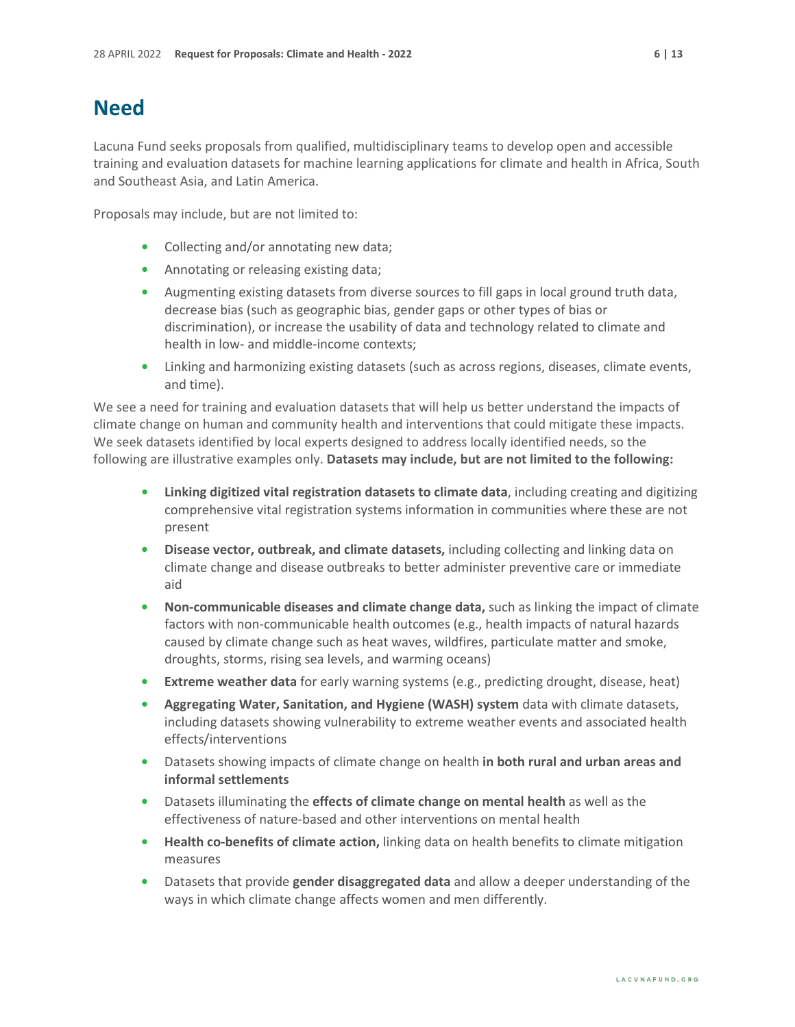#### <span id="page-5-0"></span>**Need**

Lacuna Fund seeks proposals from qualified, multidisciplinary teams to develop open and accessible training and evaluation datasets for machine learning applications for climate and health in Africa, South and Southeast Asia, and Latin America.

Proposals may include, but are not limited to:

- **•** Collecting and/or annotating new data;
- **•** Annotating or releasing existing data;
- **•** Augmenting existing datasets from diverse sources to fill gaps in local ground truth data, decrease bias (such as geographic bias, gender gaps or other types of bias or discrimination), or increase the usability of data and technology related to climate and health in low- and middle-income contexts;
- **•** Linking and harmonizing existing datasets (such as across regions, diseases, climate events, and time).

We see a need for training and evaluation datasets that will help us better understand the impacts of climate change on human and community health and interventions that could mitigate these impacts. We seek datasets identified by local experts designed to address locally identified needs, so the following are illustrative examples only. **Datasets may include, but are not limited to the following:**

- **• Linking digitized vital registration datasets to climate data**, including creating and digitizing comprehensive vital registration systems information in communities where these are not present
- **• Disease vector, outbreak, and climate datasets,** including collecting and linking data on climate change and disease outbreaks to better administer preventive care or immediate aid
- **• Non-communicable diseases and climate change data,** such as linking the impact of climate factors with non-communicable health outcomes (e.g., health impacts of natural hazards caused by climate change such as heat waves, wildfires, particulate matter and smoke, droughts, storms, rising sea levels, and warming oceans)
- **• Extreme weather data** for early warning systems (e.g., predicting drought, disease, heat)
- **• Aggregating Water, Sanitation, and Hygiene (WASH) system** data with climate datasets, including datasets showing vulnerability to extreme weather events and associated health effects/interventions
- **•** Datasets showing impacts of climate change on health **in both rural and urban areas and informal settlements**
- **•** Datasets illuminating the **effects of climate change on mental health** as well as the effectiveness of nature-based and other interventions on mental health
- **• Health co-benefits of climate action,** linking data on health benefits to climate mitigation measures
- **•** Datasets that provide **gender disaggregated data** and allow a deeper understanding of the ways in which climate change affects women and men differently.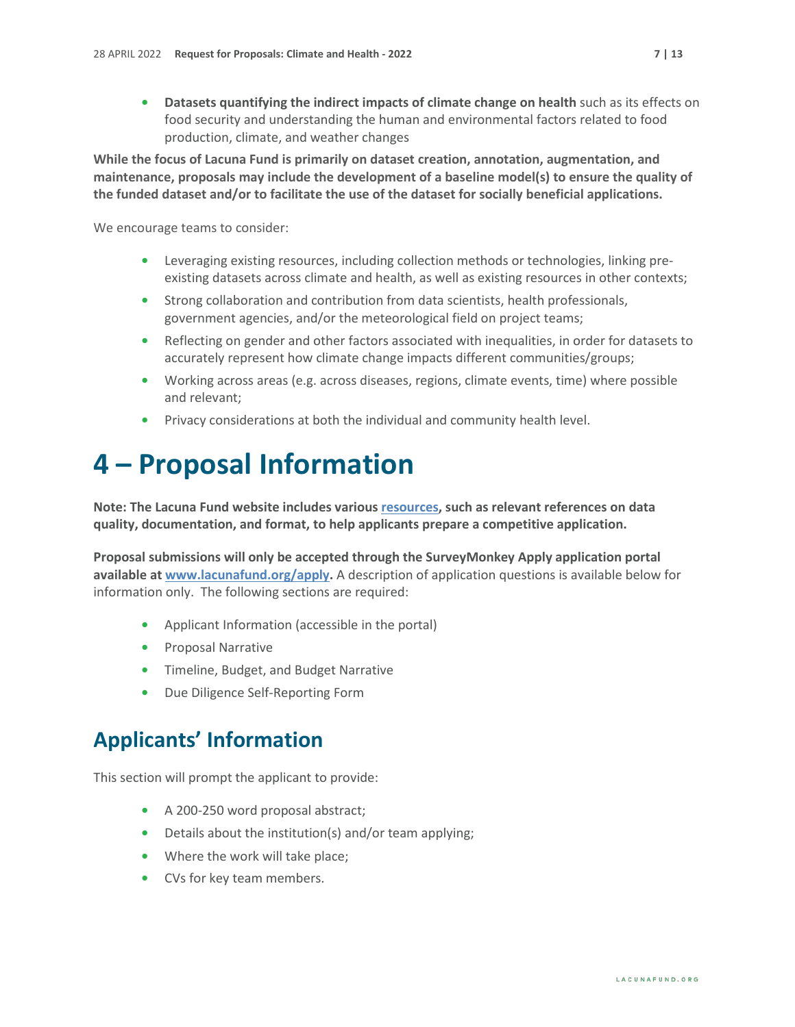• **Datasets quantifying the indirect impacts of climate change on health such as its effects on** food security and understanding the human and environmental factors related to food production, climate, and weather changes

**While the focus of Lacuna Fund is primarily on dataset creation, annotation, augmentation, and maintenance, proposals may include the development of a baseline model(s) to ensure the quality of the funded dataset and/or to facilitate the use of the dataset for socially beneficial applications.**

We encourage teams to consider:

- **•** Leveraging existing resources, including collection methods or technologies, linking preexisting datasets across climate and health, as well as existing resources in other contexts;
- **•** Strong collaboration and contribution from data scientists, health professionals, government agencies, and/or the meteorological field on project teams;
- **•** Reflecting on gender and other factors associated with inequalities, in order for datasets to accurately represent how climate change impacts different communities/groups;
- **•** Working across areas (e.g. across diseases, regions, climate events, time) where possible and relevant;
- **•** Privacy considerations at both the individual and community health level.

# <span id="page-6-0"></span>**4 – Proposal Information**

**Note: The Lacuna Fund website includes variou[s resources,](https://lacunafund.org/resources/) such as relevant references on data quality, documentation, and format, to help applicants prepare a competitive application.**

**Proposal submissions will only be accepted through the SurveyMonkey Apply application portal available at [www.lacunafund.org/apply.](http://www.lacunafund.org/apply)** A description of application questions is available below for information only. The following sections are required:

- **•** Applicant Information (accessible in the portal)
- **•** Proposal Narrative
- **•** Timeline, Budget, and Budget Narrative
- **•** Due Diligence Self-Reporting Form

### <span id="page-6-1"></span>**Applicants' Information**

This section will prompt the applicant to provide:

- **•** A 200-250 word proposal abstract;
- **•** Details about the institution(s) and/or team applying;
- **•** Where the work will take place;
- **•** CVs for key team members.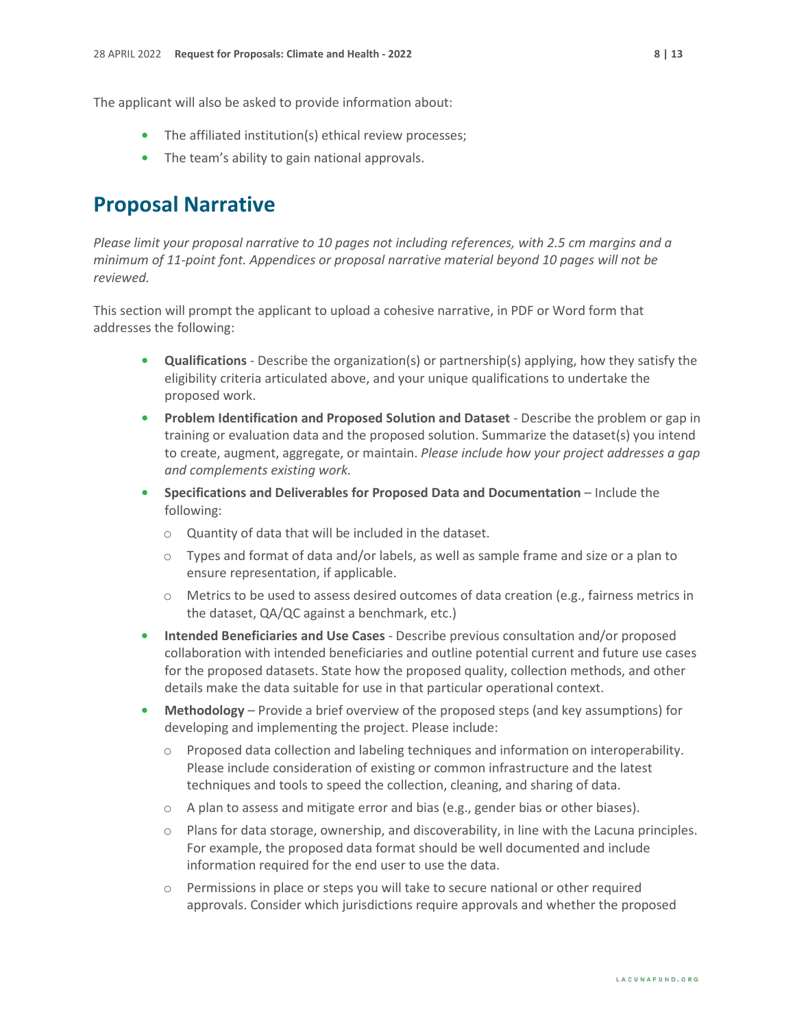- **•** The affiliated institution(s) ethical review processes;
- **•** The team's ability to gain national approvals.

#### <span id="page-7-0"></span>**Proposal Narrative**

*Please limit your proposal narrative to 10 pages not including references, with 2.5 cm margins and a minimum of 11-point font. Appendices or proposal narrative material beyond 10 pages will not be reviewed.* 

This section will prompt the applicant to upload a cohesive narrative, in PDF or Word form that addresses the following:

- **• Qualifications** Describe the organization(s) or partnership(s) applying, how they satisfy the eligibility criteria articulated above, and your unique qualifications to undertake the proposed work.
- **• Problem Identification and Proposed Solution and Dataset** Describe the problem or gap in training or evaluation data and the proposed solution. Summarize the dataset(s) you intend to create, augment, aggregate, or maintain. *Please include how your project addresses a gap and complements existing work.*
- **• Specifications and Deliverables for Proposed Data and Documentation** Include the following:
	- o Quantity of data that will be included in the dataset.
	- $\circ$  Types and format of data and/or labels, as well as sample frame and size or a plan to ensure representation, if applicable.
	- $\circ$  Metrics to be used to assess desired outcomes of data creation (e.g., fairness metrics in the dataset, QA/QC against a benchmark, etc.)
- **• Intended Beneficiaries and Use Cases** Describe previous consultation and/or proposed collaboration with intended beneficiaries and outline potential current and future use cases for the proposed datasets. State how the proposed quality, collection methods, and other details make the data suitable for use in that particular operational context.
- **• Methodology** Provide a brief overview of the proposed steps (and key assumptions) for developing and implementing the project. Please include:
	- o Proposed data collection and labeling techniques and information on interoperability. Please include consideration of existing or common infrastructure and the latest techniques and tools to speed the collection, cleaning, and sharing of data.
	- $\circ$  A plan to assess and mitigate error and bias (e.g., gender bias or other biases).
	- $\circ$  Plans for data storage, ownership, and discoverability, in line with the Lacuna principles. For example, the proposed data format should be well documented and include information required for the end user to use the data.
	- o Permissions in place or steps you will take to secure national or other required approvals. Consider which jurisdictions require approvals and whether the proposed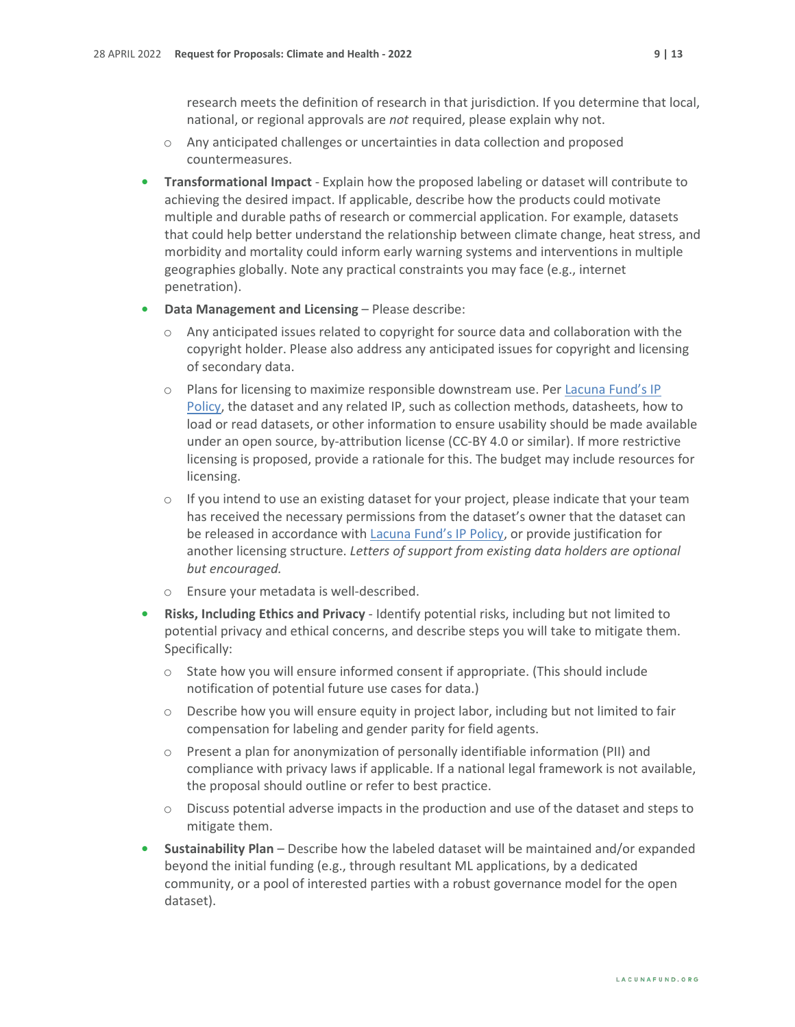research meets the definition of research in that jurisdiction. If you determine that local, national, or regional approvals are *not* required, please explain why not.

- o Any anticipated challenges or uncertainties in data collection and proposed countermeasures.
- **• Transformational Impact** Explain how the proposed labeling or dataset will contribute to achieving the desired impact. If applicable, describe how the products could motivate multiple and durable paths of research or commercial application. For example, datasets that could help better understand the relationship between climate change, heat stress, and morbidity and mortality could inform early warning systems and interventions in multiple geographies globally. Note any practical constraints you may face (e.g., internet penetration).
- **• Data Management and Licensing** Please describe:
	- $\circ$  Any anticipated issues related to copyright for source data and collaboration with the copyright holder. Please also address any anticipated issues for copyright and licensing of secondary data.
	- o Plans for licensing to maximize responsible downstream use. Per [Lacuna Fund's IP](https://s31207.pcdn.co/wp-content/uploads/sites/11/2020/07/IP-Policy_LacunaFund.pdf)  [Policy,](https://s31207.pcdn.co/wp-content/uploads/sites/11/2020/07/IP-Policy_LacunaFund.pdf) the dataset and any related IP, such as collection methods, datasheets, how to load or read datasets, or other information to ensure usability should be made available under an open source, by-attribution license (CC-BY 4.0 or similar). If more restrictive licensing is proposed, provide a rationale for this. The budget may include resources for licensing.
	- $\circ$  If you intend to use an existing dataset for your project, please indicate that your team has received the necessary permissions from the dataset's owner that the dataset can be released in accordance with [Lacuna Fund's IP Policy,](https://s31207.pcdn.co/wp-content/uploads/sites/11/2020/07/IP-Policy_LacunaFund.pdf) or provide justification for another licensing structure. *Letters of support from existing data holders are optional but encouraged.*
	- o Ensure your metadata is well-described.
- **• Risks, Including Ethics and Privacy** Identify potential risks, including but not limited to potential privacy and ethical concerns, and describe steps you will take to mitigate them. Specifically:
	- $\circ$  State how you will ensure informed consent if appropriate. (This should include notification of potential future use cases for data.)
	- o Describe how you will ensure equity in project labor, including but not limited to fair compensation for labeling and gender parity for field agents.
	- $\circ$  Present a plan for anonymization of personally identifiable information (PII) and compliance with privacy laws if applicable. If a national legal framework is not available, the proposal should outline or refer to best practice.
	- $\circ$  Discuss potential adverse impacts in the production and use of the dataset and steps to mitigate them.
- **• Sustainability Plan** Describe how the labeled dataset will be maintained and/or expanded beyond the initial funding (e.g., through resultant ML applications, by a dedicated community, or a pool of interested parties with a robust governance model for the open dataset).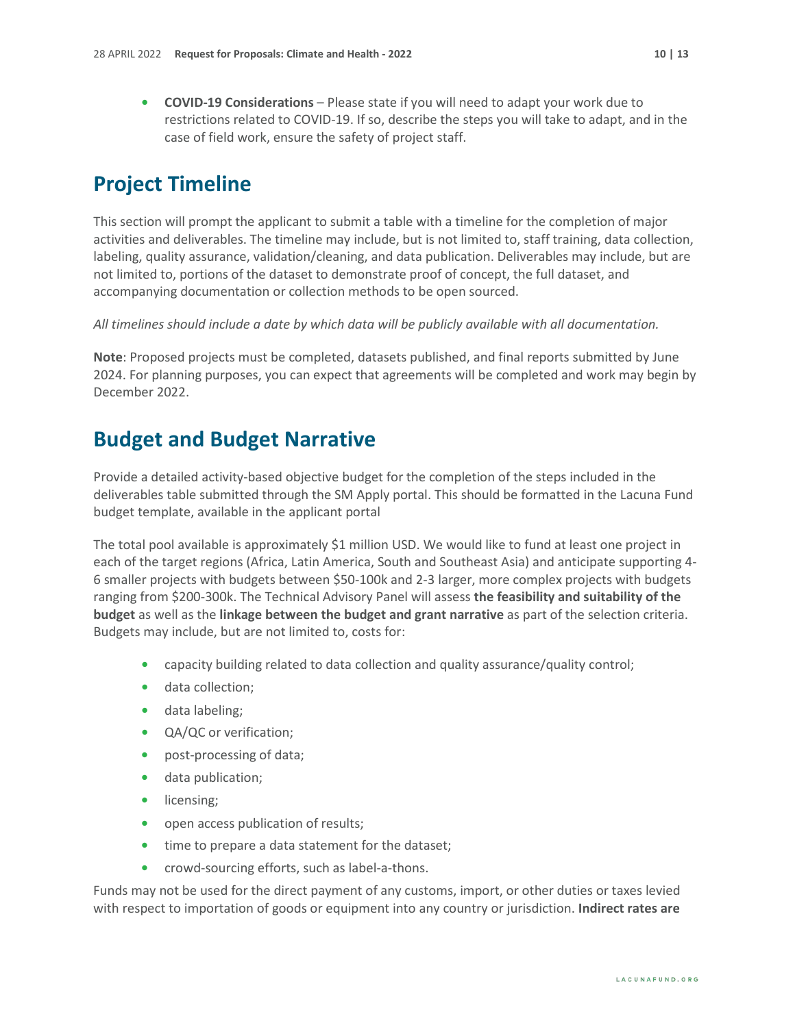**• COVID-19 Considerations** – Please state if you will need to adapt your work due to restrictions related to COVID-19. If so, describe the steps you will take to adapt, and in the case of field work, ensure the safety of project staff.

### <span id="page-9-0"></span>**Project Timeline**

This section will prompt the applicant to submit a table with a timeline for the completion of major activities and deliverables. The timeline may include, but is not limited to, staff training, data collection, labeling, quality assurance, validation/cleaning, and data publication. Deliverables may include, but are not limited to, portions of the dataset to demonstrate proof of concept, the full dataset, and accompanying documentation or collection methods to be open sourced.

*All timelines should include a date by which data will be publicly available with all documentation.*

**Note**: Proposed projects must be completed, datasets published, and final reports submitted by June 2024. For planning purposes, you can expect that agreements will be completed and work may begin by December 2022.

#### <span id="page-9-1"></span>**Budget and Budget Narrative**

Provide a detailed activity-based objective budget for the completion of the steps included in the deliverables table submitted through the SM Apply portal. This should be formatted in the Lacuna Fund budget template, available in the applicant portal

The total pool available is approximately \$1 million USD. We would like to fund at least one project in each of the target regions (Africa, Latin America, South and Southeast Asia) and anticipate supporting 4- 6 smaller projects with budgets between \$50-100k and 2-3 larger, more complex projects with budgets ranging from \$200-300k. The Technical Advisory Panel will assess **the feasibility and suitability of the budget** as well as the **linkage between the budget and grant narrative** as part of the selection criteria. Budgets may include, but are not limited to, costs for:

- **•** capacity building related to data collection and quality assurance/quality control;
- **•** data collection;
- **•** data labeling;
- **•** QA/QC or verification;
- **•** post-processing of data;
- **•** data publication;
- **•** licensing;
- **•** open access publication of results;
- **•** time to prepare a data statement for the dataset;
- **•** crowd-sourcing efforts, such as label-a-thons.

Funds may not be used for the direct payment of any customs, import, or other duties or taxes levied with respect to importation of goods or equipment into any country or jurisdiction. **Indirect rates are**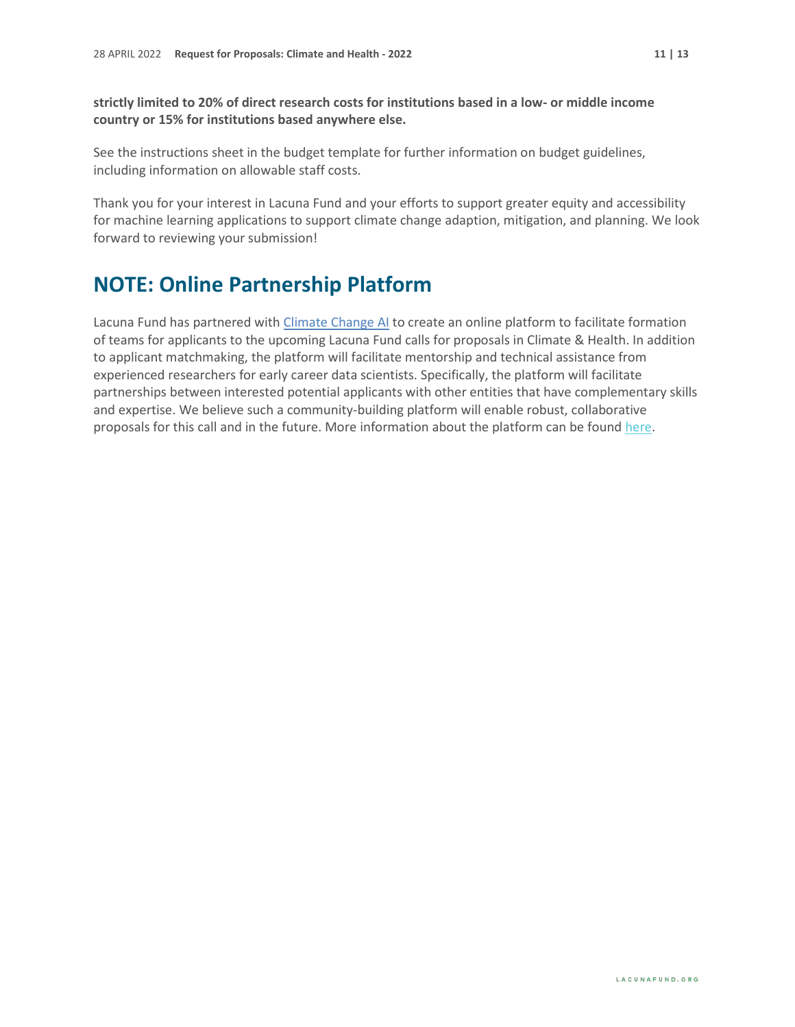**strictly limited to 20% of direct research costs for institutions based in a low- or middle income country or 15% for institutions based anywhere else.**

See the instructions sheet in the budget template for further information on budget guidelines, including information on allowable staff costs.

Thank you for your interest in Lacuna Fund and your efforts to support greater equity and accessibility for machine learning applications to support climate change adaption, mitigation, and planning. We look forward to reviewing your submission!

### **NOTE: Online Partnership Platform**

Lacuna Fund has partnered with [Climate Change AI](https://climatechange.ai/) to create an online platform to facilitate formation of teams for applicants to the upcoming Lacuna Fund calls for proposals in Climate & Health. In addition to applicant matchmaking, the platform will facilitate mentorship and technical assistance from experienced researchers for early career data scientists. Specifically, the platform will facilitate partnerships between interested potential applicants with other entities that have complementary skills and expertise. We believe such a community-building platform will enable robust, collaborative proposals for this call and in the future. More information about the platform can be foun[d here.](https://www.climatechange.ai/calls/lacuna)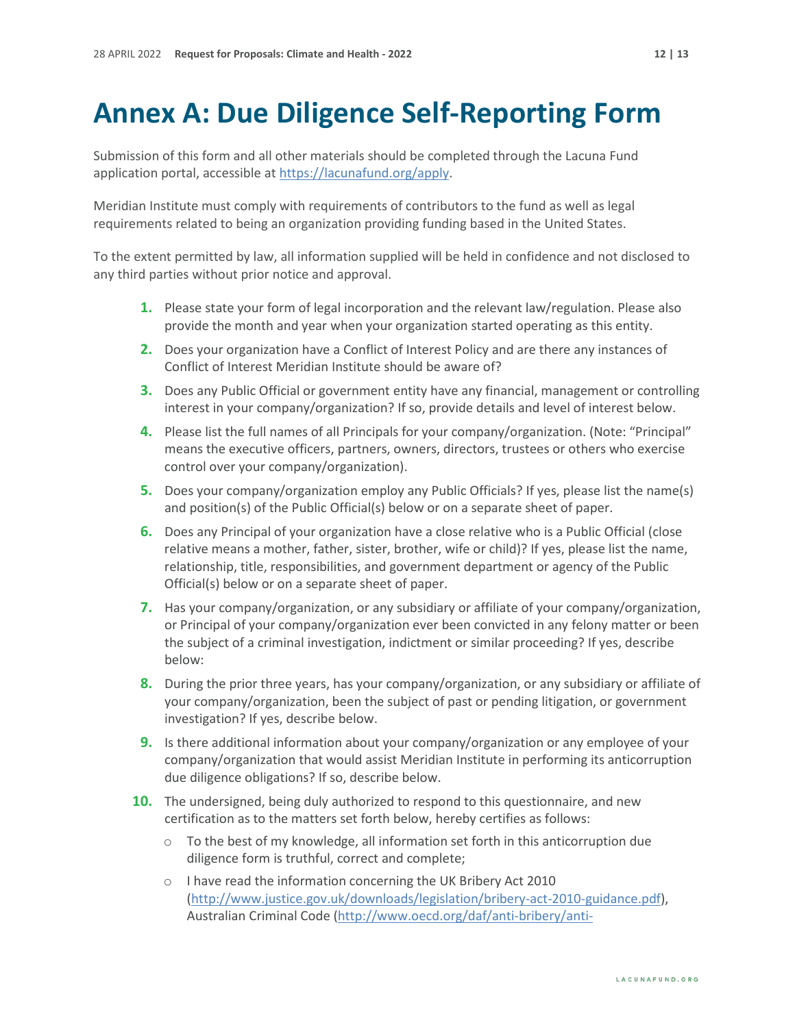# <span id="page-11-0"></span>**Annex A: Due Diligence Self-Reporting Form**

Submission of this form and all other materials should be completed through the Lacuna Fund application portal, accessible at [https://lacunafund.org/apply.](https://lacunafund.org/apply)

Meridian Institute must comply with requirements of contributors to the fund as well as legal requirements related to being an organization providing funding based in the United States.

To the extent permitted by law, all information supplied will be held in confidence and not disclosed to any third parties without prior notice and approval.

- **1.** Please state your form of legal incorporation and the relevant law/regulation. Please also provide the month and year when your organization started operating as this entity.
- **2.** Does your organization have a Conflict of Interest Policy and are there any instances of Conflict of Interest Meridian Institute should be aware of?
- **3.** Does any Public Official or government entity have any financial, management or controlling interest in your company/organization? If so, provide details and level of interest below.
- **4.** Please list the full names of all Principals for your company/organization. (Note: "Principal" means the executive officers, partners, owners, directors, trustees or others who exercise control over your company/organization).
- **5.** Does your company/organization employ any Public Officials? If yes, please list the name(s) and position(s) of the Public Official(s) below or on a separate sheet of paper.
- **6.** Does any Principal of your organization have a close relative who is a Public Official (close relative means a mother, father, sister, brother, wife or child)? If yes, please list the name, relationship, title, responsibilities, and government department or agency of the Public Official(s) below or on a separate sheet of paper.
- **7.** Has your company/organization, or any subsidiary or affiliate of your company/organization, or Principal of your company/organization ever been convicted in any felony matter or been the subject of a criminal investigation, indictment or similar proceeding? If yes, describe below:
- **8.** During the prior three years, has your company/organization, or any subsidiary or affiliate of your company/organization, been the subject of past or pending litigation, or government investigation? If yes, describe below.
- **9.** Is there additional information about your company/organization or any employee of your company/organization that would assist Meridian Institute in performing its anticorruption due diligence obligations? If so, describe below.
- **10.** The undersigned, being duly authorized to respond to this questionnaire, and new certification as to the matters set forth below, hereby certifies as follows:
	- $\circ$  To the best of my knowledge, all information set forth in this anticorruption due diligence form is truthful, correct and complete;
	- o I have read the information concerning the UK Bribery Act 2010 [\(http://www.justice.gov.uk/downloads/legislation/bribery-act-2010-guidance.pdf\)](http://www.justice.gov.uk/downloads/legislation/bribery-act-2010-guidance.pdf), Australian Criminal Code [\(http://www.oecd.org/daf/anti-bribery/anti-](http://www.oecd.org/daf/anti-bribery/anti-briberyconvention/2027148.pdf)